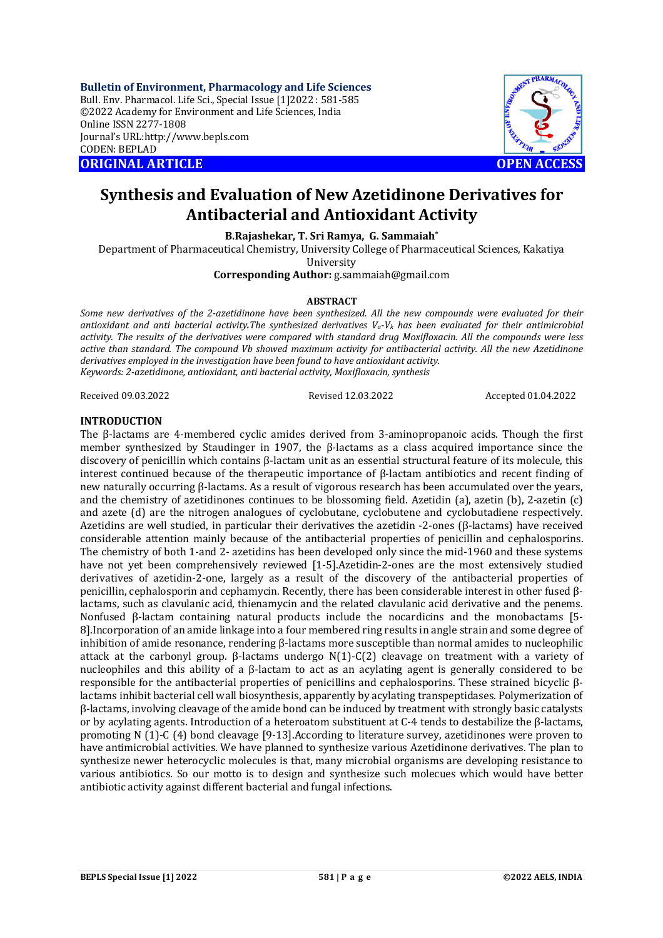**Bulletin of Environment, Pharmacology and Life Sciences** Bull. Env. Pharmacol. Life Sci., Special Issue [1]2022 : 581-585 ©2022 Academy for Environment and Life Sciences, India Online ISSN 2277-1808 Journal's URL:<http://www.bepls.com> CODEN: BEPLAD **ORIGINAL ARTICLE OPEN ACCESS** 



# **Synthesis and Evaluation of New Azetidinone Derivatives for Antibacterial and Antioxidant Activity**

**B.Rajashekar, T. Sri Ramya, G. Sammaiah\***

Department of Pharmaceutical Chemistry, University College of Pharmaceutical Sciences, Kakatiya University

**Corresponding Author:** [g.sammaiah@gmail.com](mailto:g.sammaiah@gmail.com)

## **ABSTRACT**

*Some new derivatives of the 2-azetidinone have been synthesized. All the new compounds were evaluated for their antioxidant and anti bacterial activity.The synthesized derivatives Va-V<sup>k</sup> has been evaluated for their antimicrobial activity. The results of the derivatives were compared with standard drug Moxifloxacin. All the compounds were less active than standard. The compound Vb showed maximum activity for antibacterial activity. All the new Azetidinone derivatives employed in the investigation have been found to have antioxidant activity. Keywords: 2-azetidinone, antioxidant, anti bacterial activity, Moxifloxacin, synthesis*

Received 09.03.2022 Revised 12.03.2022 Accepted 01.04.2022

## **INTRODUCTION**

The β-lactams are 4-membered cyclic amides derived from 3-aminopropanoic acids. Though the first member synthesized by Staudinger in 1907, the β-lactams as a class acquired importance since the discovery of penicillin which contains β-lactam unit as an essential structural feature of its molecule, this interest continued because of the therapeutic importance of β-lactam antibiotics and recent finding of new naturally occurring β-lactams. As a result of vigorous research has been accumulated over the years, and the chemistry of azetidinones continues to be blossoming field. Azetidin (a), azetin (b), 2-azetin (c) and azete (d) are the nitrogen analogues of cyclobutane, cyclobutene and cyclobutadiene respectively. Azetidins are well studied, in particular their derivatives the azetidin -2-ones (β-lactams) have received considerable attention mainly because of the antibacterial properties of penicillin and cephalosporins. The chemistry of both 1-and 2- azetidins has been developed only since the mid-1960 and these systems have not yet been comprehensively reviewed [1-5].Azetidin-2-ones are the most extensively studied derivatives of azetidin-2-one, largely as a result of the discovery of the antibacterial properties of penicillin, cephalosporin and cephamycin. Recently, there has been considerable interest in other fused βlactams, such as clavulanic acid, thienamycin and the related clavulanic acid derivative and the penems. Nonfused β-lactam containing natural products include the nocardicins and the monobactams [5- 8].Incorporation of an amide linkage into a four membered ring results in angle strain and some degree of inhibition of amide resonance, rendering β-lactams more susceptible than normal amides to nucleophilic attack at the carbonyl group. β-lactams undergo N(1)-C(2) cleavage on treatment with a variety of nucleophiles and this ability of a β-lactam to act as an acylating agent is generally considered to be responsible for the antibacterial properties of penicillins and cephalosporins. These strained bicyclic βlactams inhibit bacterial cell wall biosynthesis, apparently by acylating transpeptidases. Polymerization of β-lactams, involving cleavage of the amide bond can be induced by treatment with strongly basic catalysts or by acylating agents. Introduction of a heteroatom substituent at C-4 tends to destabilize the β-lactams, promoting N (1)-C (4) bond cleavage [9-13].According to literature survey, azetidinones were proven to have antimicrobial activities. We have planned to synthesize various Azetidinone derivatives. The plan to synthesize newer heterocyclic molecules is that, many microbial organisms are developing resistance to various antibiotics. So our motto is to design and synthesize such molecues which would have better antibiotic activity against different bacterial and fungal infections.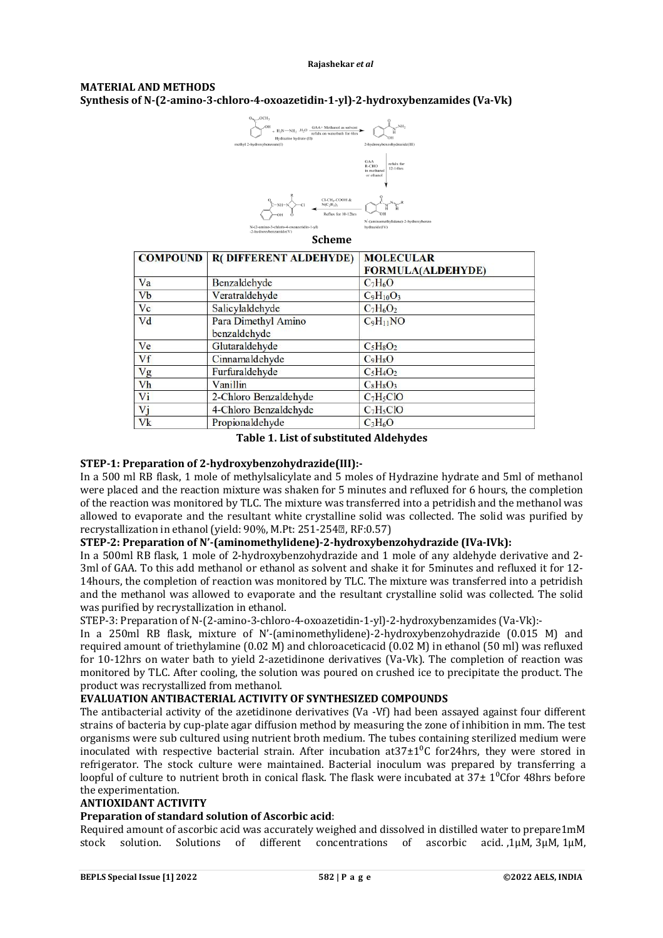# **MATERIAL AND METHODS Synthesis of N-(2-amino-3-chloro-4-oxoazetidin-1-yl)-2-hydroxybenzamides (Va-Vk)**



## **Scheme**

|                      | <b>COMPOUND   R( DIFFERENT ALDEHYDE)</b> | <b>MOLECULAR</b><br><b>FORMULA(ALDEHYDE)</b> |
|----------------------|------------------------------------------|----------------------------------------------|
| Va                   | Benzaldehyde                             | $C_7H_6O$                                    |
| <b>V<sub>b</sub></b> | Veratraldehyde                           | $C_9H_{10}O_3$                               |
| Vc                   | Salicylaldehyde                          | $C_7H_6O_2$                                  |
| Vd                   | Para Dimethyl Amino<br>benzaldehyde      | $C_9H_{11}NO$                                |
| Ve                   | Glutaraldehyde                           | $C5H8O2$                                     |
| Vf                   | Cinnamaldehyde                           | $C_9H_8O$                                    |
| Vg                   | Furfuraldehyde                           | $C_5H_4O_2$                                  |
| Vh                   | Vanillin                                 | CsHsO <sub>3</sub>                           |
| Vi                   | 2-Chloro Benzaldehyde                    | $C_7H_5ClO$                                  |
| Vj                   | 4-Chloro Benzaldehyde                    | $C_7H_5ClO$                                  |
| Vk                   | Propionaldehyde                          | $C_3H_6O$                                    |

#### **Table 1. List of substituted Aldehydes**

# **STEP-1: Preparation of 2-hydroxybenzohydrazide(III):-**

In a 500 ml RB flask, 1 mole of methylsalicylate and 5 moles of Hydrazine hydrate and 5ml of methanol were placed and the reaction mixture was shaken for 5 minutes and refluxed for 6 hours, the completion of the reaction was monitored by TLC. The mixture was transferred into a petridish and the methanol was allowed to evaporate and the resultant white crystalline solid was collected. The solid was purified by recrystallization in ethanol (yield: 90%, M.Pt: 251-254<sup>®</sup>, RF:0.57)

## **STEP-2: Preparation of N'-(aminomethylidene)-2-hydroxybenzohydrazide (IVa-IVk):**

In a 500ml RB flask, 1 mole of 2-hydroxybenzohydrazide and 1 mole of any aldehyde derivative and 2- 3ml of GAA. To this add methanol or ethanol as solvent and shake it for 5minutes and refluxed it for 12- 14hours, the completion of reaction was monitored by TLC. The mixture was transferred into a petridish and the methanol was allowed to evaporate and the resultant crystalline solid was collected. The solid was purified by recrystallization in ethanol.

STEP-3: Preparation of N-(2-amino-3-chloro-4-oxoazetidin-1-yl)-2-hydroxybenzamides (Va-Vk):-

In a 250ml RB flask, mixture of N'-(aminomethylidene)-2-hydroxybenzohydrazide (0.015 M) and required amount of triethylamine (0.02 M) and chloroaceticacid (0.02 M) in ethanol (50 ml) was refluxed for 10-12hrs on water bath to yield 2-azetidinone derivatives (Va-Vk). The completion of reaction was monitored by TLC. After cooling, the solution was poured on crushed ice to precipitate the product. The product was recrystallized from methanol.

## **EVALUATION ANTIBACTERIAL ACTIVITY OF SYNTHESIZED COMPOUNDS**

The antibacterial activity of the azetidinone derivatives (Va -Vf) had been assayed against four different strains of bacteria by cup-plate agar diffusion method by measuring the zone of inhibition in mm. The test organisms were sub cultured using nutrient broth medium. The tubes containing sterilized medium were inoculated with respective bacterial strain. After incubation at  $37\pm1^0C$  for 24hrs, they were stored in refrigerator. The stock culture were maintained. Bacterial inoculum was prepared by transferring a loopful of culture to nutrient broth in conical flask. The flask were incubated at  $37\pm10^{\circ}$  for 48hrs before the experimentation.

## **ANTIOXIDANT ACTIVITY**

## **Preparation of standard solution of Ascorbic acid**:

Required amount of ascorbic acid was accurately weighed and dissolved in distilled water to prepare1mM stock solution. Solutions of different concentrations of ascorbic acid. ,1µM, 3µM, 1µM,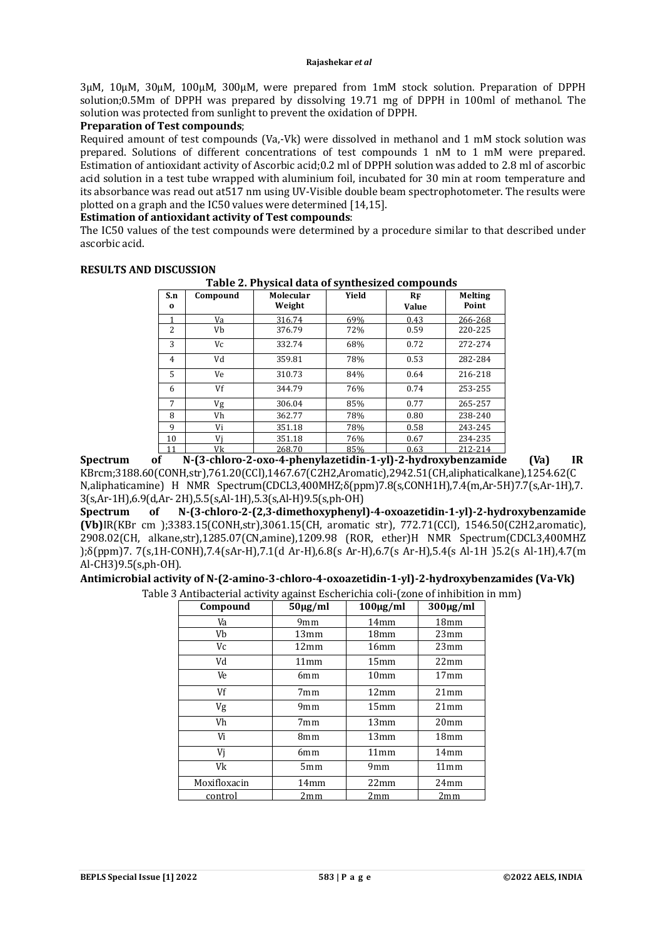3µM, 10µM, 30µM, 100µM, 300µM, were prepared from 1mM stock solution. Preparation of DPPH solution;0.5Mm of DPPH was prepared by dissolving 19.71 mg of DPPH in 100ml of methanol. The solution was protected from sunlight to prevent the oxidation of DPPH.

## **Preparation of Test compounds**;

Required amount of test compounds (Va,-Vk) were dissolved in methanol and 1 mM stock solution was prepared. Solutions of different concentrations of test compounds 1 nM to 1 mM were prepared. Estimation of antioxidant activity of Ascorbic acid;0.2 ml of DPPH solution was added to 2.8 ml of ascorbic acid solution in a test tube wrapped with aluminium foil, incubated for 30 min at room temperature and its absorbance was read out at517 nm using UV-Visible double beam spectrophotometer. The results were plotted on a graph and the IC50 values were determined [14,15].

## **Estimation of antioxidant activity of Test compounds**:

The IC50 values of the test compounds were determined by a procedure similar to that described under ascorbic acid.

| S.n<br>$\bf{0}$ | Compound | Molecular<br>Weight | Yield | $R_{\rm F}$<br><b>Value</b> | Melting<br>Point |
|-----------------|----------|---------------------|-------|-----------------------------|------------------|
|                 | Va       | 316.74              | 69%   | 0.43                        | 266-268          |
| 2               | Vb       | 376.79              | 72%   | 0.59                        | 220-225          |
| 3               | Vc       | 332.74              | 68%   | 0.72                        | 272-274          |
| $\overline{4}$  | Vd       | 359.81              | 78%   | 0.53                        | 282-284          |
| 5               | Ve       | 310.73              | 84%   | 0.64                        | 216-218          |
| 6               | Vf       | 344.79              | 76%   | 0.74                        | 253-255          |
| 7               | Vg       | 306.04              | 85%   | 0.77                        | 265-257          |
| 8               | Vh       | 362.77              | 78%   | 0.80                        | 238-240          |
| 9               | Vi       | 351.18              | 78%   | 0.58                        | 243-245          |
| 10              | Vi       | 351.18              | 76%   | 0.67                        | 234-235          |
|                 | Vk       | 268.70              | 85%   | 0.63                        | 212-214          |

#### **RESULTS AND DISCUSSION Table 2. Physical data of synthesized compounds**

**Spectrum of N-(3-chloro-2-oxo-4-phenylazetidin-1-yl)-2-hydroxybenzamide (Va) IR**  KBrcm;3188.60(CONH,str),761.20(CCl),1467.67(C2H2,Aromatic),2942.51(CH,aliphaticalkane),1254.62(C N,aliphaticamine) H NMR Spectrum(CDCL3,400MHZ;δ(ppm)7.8(s,CONH1H),7.4(m,Ar-5H)7.7(s,Ar-1H),7. 3(s,Ar-1H),6.9(d,Ar- 2H),5.5(s,Al-1H),5.3(s,Al-H)9.5(s,ph-OH)

**Spectrum of N-(3-chloro-2-(2,3-dimethoxyphenyl)-4-oxoazetidin-1-yl)-2-hydroxybenzamide (Vb)**IR(KBr cm );3383.15(CONH,str),3061.15(CH, aromatic str), 772.71(CCl), 1546.50(C2H2,aromatic), 2908.02(CH, alkane,str),1285.07(CN,amine),1209.98 (ROR, ether)H NMR Spectrum(CDCL3,400MHZ );δ(ppm)7. 7(s,1H-CONH),7.4(sAr-H),7.1(d Ar-H),6.8(s Ar-H),6.7(s Ar-H),5.4(s Al-1H )5.2(s Al-1H),4.7(m Al-CH3)9.5(s,ph-OH).

#### **Antimicrobial activity of N-(2-amino-3-chloro-4-oxoazetidin-1-yl)-2-hydroxybenzamides (Va-Vk)** Table 3 Antibacterial activity against Escherichia coli-(zone of inhibition in mm)

| Compound     | $50 \mu g/ml$ | $100 \mu g/ml$   | $300 \mu g/ml$   |
|--------------|---------------|------------------|------------------|
| Va           | 9mm           | 14mm             | 18mm             |
| Vb           | 13mm          | 18 <sub>mm</sub> | 23mm             |
| Vc           | 12mm          | 16mm             | 23mm             |
| Vd           | 11mm          | 15mm             | 22mm             |
| Ve           | 6mm           | 10 <sub>mm</sub> | 17 <sub>mm</sub> |
| Vf           | 7mm           | 12mm             | 21mm             |
| Vg           | 9mm           | 15mm             | 21mm             |
| Vh           | 7mm           | 13mm             | 20 <sub>mm</sub> |
| Vi           | 8mm           | 13mm             | 18 <sub>mm</sub> |
| Vj           | 6mm           | 11mm             | 14mm             |
| Vk           | 5mm           | 9mm              | 11mm             |
| Moxifloxacin | 14mm          | 22mm             | 24mm             |
| control      | 2mm           | 2mm              | 2mm              |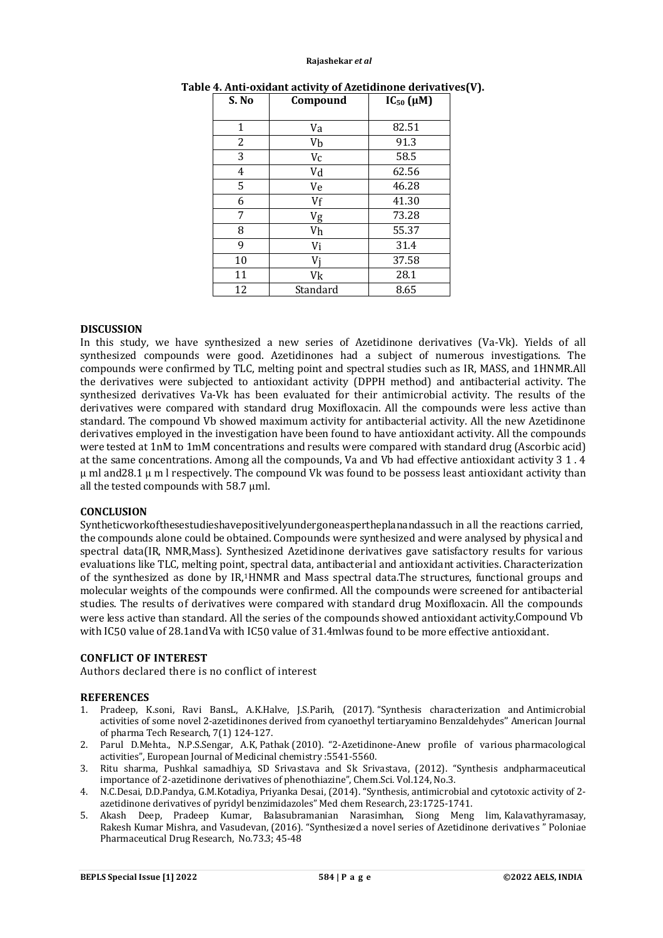#### **Rajashekar** *et al*

| S. No | Compound | $IC_{50}(\mu M)$ |
|-------|----------|------------------|
| 1     | Va       | 82.51            |
| 2     | Vb       | 91.3             |
| 3     | $V_C$    | 58.5             |
| 4     | Vd       | 62.56            |
| 5     | Ve       | 46.28            |
| 6     | Vf       | 41.30            |
| 7     | Vg       | 73.28            |
| 8     | Vh       | 55.37            |
| 9     | Vi       | 31.4             |
| 10    | Vi       | 37.58            |
| 11    | Vk       | 28.1             |
| 12    | Standard | 8.65             |

## **Table 4. Anti-oxidant activity of Azetidinone derivatives(V).**

## **DISCUSSION**

In this study, we have synthesized a new series of Azetidinone derivatives (Va-Vk). Yields of all synthesized compounds were good. Azetidinones had a subject of numerous investigations. The compounds were confirmed by TLC, melting point and spectral studies such as IR, MASS, and 1HNMR.All the derivatives were subjected to antioxidant activity (DPPH method) and antibacterial activity. The synthesized derivatives Va-Vk has been evaluated for their antimicrobial activity. The results of the derivatives were compared with standard drug Moxifloxacin. All the compounds were less active than standard. The compound Vb showed maximum activity for antibacterial activity. All the new Azetidinone derivatives employed in the investigation have been found to have antioxidant activity. All the compounds were tested at 1nM to 1mM concentrations and results were compared with standard drug (Ascorbic acid) at the same concentrations. Among all the compounds, Va and Vb had effective antioxidant activity 3 1 . 4  $\mu$  ml and 28.1  $\mu$  m l respectively. The compound Vk was found to be possess least antioxidant activity than all the tested compounds with 58.7 µml.

## **CONCLUSION**

Syntheticworkofthesestudieshavepositivelyundergoneaspertheplanandassuch in all the reactions carried, the compounds alone could be obtained. Compounds were synthesized and were analysed by physical and spectral data(IR, NMR,Mass). Synthesized Azetidinone derivatives gave satisfactory results for various evaluations like TLC, melting point, spectral data, antibacterial and antioxidant activities. Characterization of the synthesized as done by IR, <sup>1</sup>HNMR and Mass spectral data.The structures, functional groups and molecular weights of the compounds were confirmed. All the compounds were screened for antibacterial studies. The results of derivatives were compared with standard drug Moxifloxacin. All the compounds were less active than standard. All the series of the compounds showed antioxidant activity.Compound Vb with IC50 value of 28.1andVa with IC50 value of 31.4mlwas found to be more effective antioxidant.

## **CONFLICT OF INTEREST**

Authors declared there is no conflict of interest

## **REFERENCES**

- 1. Pradeep, K.soni, Ravi BansL, A.K.Halve, J.S.Parih, (2017). "Synthesis characterization and Antimicrobial activities of some novel 2-azetidinones derived from cyanoethyl tertiaryamino Benzaldehydes'' American Journal of pharma Tech Research, 7(1) 124-127.
- 2. Parul D.Mehta., N.P.S.Sengar, A.K, Pathak (2010). "2-Azetidinone-Anew profile of various pharmacological activities", European Journal of Medicinal chemistry :5541-5560.
- 3. Ritu sharma, Pushkal samadhiya, SD Srivastava and Sk Srivastava, (2012). "Synthesis andpharmaceutical importance of 2-azetidinone derivatives of phenothiazine", Chem.Sci. Vol.124, No.3.
- 4. N.C.Desai, D.D.Pandya, G.M.Kotadiya, Priyanka Desai, (2014). "Synthesis, antimicrobial and cytotoxic activity of 2 azetidinone derivatives of pyridyl benzimidazoles" Med chem Research, 23:1725-1741.
- 5. Akash Deep, Pradeep Kumar, Balasubramanian Narasimhan, Siong Meng lim, Kalavathyramasay, Rakesh Kumar Mishra, and Vasudevan, (2016). "Synthesized a novel series of Azetidinone derivatives <sup>n</sup> Poloniae Pharmaceutical Drug Research, No.73.3; 45-48